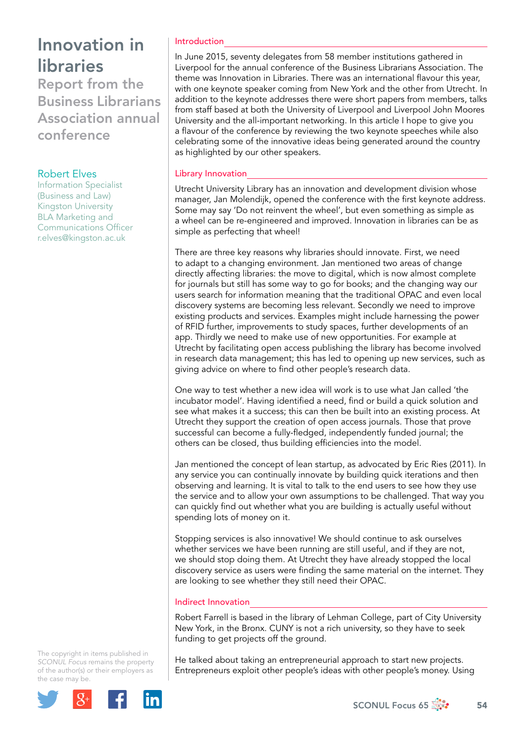Report from the Business Librarians Association annual conference

# Robert Elves

Information Specialist (Business and Law) Kingston University BLA Marketing and Communications Officer [r.elves@kingston.ac.uk](file:///Users/stevegardner/Desktop/Focus%2065/r.elves@kingston.ac.uk)

## Introduction

In June 2015, seventy delegates from 58 member institutions gathered in Liverpool for the annual conference of the Business Librarians Association. The theme was Innovation in Libraries. There was an international flavour this year, with one keynote speaker coming from New York and the other from Utrecht. In addition to the keynote addresses there were short papers from members, talks from staff based at both the University of Liverpool and Liverpool John Moores University and the all-important networking. In this article I hope to give you a flavour of the conference by reviewing the two keynote speeches while also celebrating some of the innovative ideas being generated around the country as highlighted by our other speakers.

# Library Innovation

Utrecht University Library has an innovation and development division whose manager, Jan Molendijk, opened the conference with the first keynote address. Some may say 'Do not reinvent the wheel', but even something as simple as a wheel can be re-engineered and improved. Innovation in libraries can be as simple as perfecting that wheel!

There are three key reasons why libraries should innovate. First, we need to adapt to a changing environment. Jan mentioned two areas of change directly affecting libraries: the move to digital, which is now almost complete for journals but still has some way to go for books; and the changing way our users search for information meaning that the traditional OPAC and even local discovery systems are becoming less relevant. Secondly we need to improve existing products and services. Examples might include harnessing the power of RFID further, improvements to study spaces, further developments of an app. Thirdly we need to make use of new opportunities. For example at Utrecht by facilitating open access publishing the library has become involved in research data management; this has led to opening up new services, such as giving advice on where to find other people's research data.

One way to test whether a new idea will work is to use what Jan called 'the incubator model'. Having identified a need, find or build a quick solution and see what makes it a success; this can then be built into an existing process. At Utrecht they support the creation of open access journals. Those that prove successful can become a fully-fledged, independently funded journal; the others can be closed, thus building efficiencies into the model.

Jan mentioned the concept of lean startup, as advocated by Eric Ries (2011). In any service you can continually innovate by building quick iterations and then observing and learning. It is vital to talk to the end users to see how they use the service and to allow your own assumptions to be challenged. That way you can quickly find out whether what you are building is actually useful without spending lots of money on it.

Stopping services is also innovative! We should continue to ask ourselves whether services we have been running are still useful, and if they are not, we should stop doing them. At Utrecht they have already stopped the local discovery service as users were finding the same material on the internet. They are looking to see whether they still need their OPAC.

## Indirect Innovation

Robert Farrell is based in the library of Lehman College, part of City University New York, in the Bronx. CUNY is not a rich university, so they have to seek funding to get projects off the ground.

The copyright in items published in *SCONUL Focus* remains the property of the author(s) or their employers as the case may be.



He talked about taking an entrepreneurial approach to start new projects. Entrepreneurs exploit other people's ideas with other people's money. Using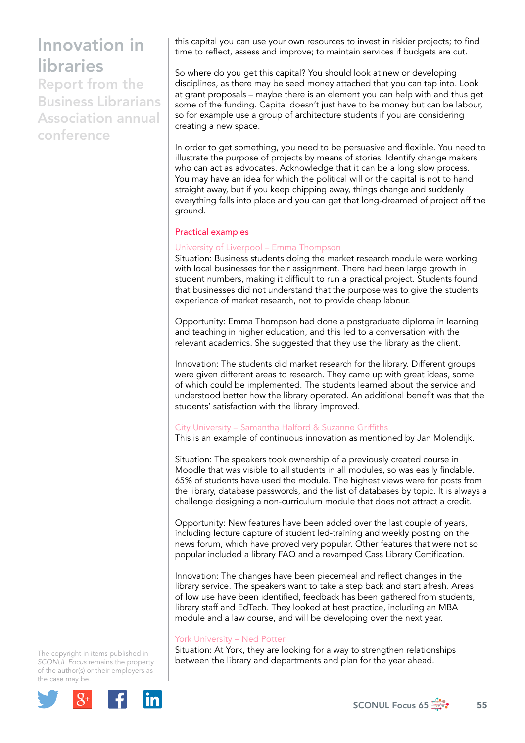Report from the Business Librarians Association annual conference

this capital you can use your own resources to invest in riskier projects; to find time to reflect, assess and improve; to maintain services if budgets are cut.

So where do you get this capital? You should look at new or developing disciplines, as there may be seed money attached that you can tap into. Look at grant proposals – maybe there is an element you can help with and thus get some of the funding. Capital doesn't just have to be money but can be labour, so for example use a group of architecture students if you are considering creating a new space.

In order to get something, you need to be persuasive and flexible. You need to illustrate the purpose of projects by means of stories. Identify change makers who can act as advocates. Acknowledge that it can be a long slow process. You may have an idea for which the political will or the capital is not to hand straight away, but if you keep chipping away, things change and suddenly everything falls into place and you can get that long-dreamed of project off the ground.

## Practical examples

### University of Liverpool – Emma Thompson

Situation: Business students doing the market research module were working with local businesses for their assignment. There had been large growth in student numbers, making it difficult to run a practical project. Students found that businesses did not understand that the purpose was to give the students experience of market research, not to provide cheap labour.

Opportunity: Emma Thompson had done a postgraduate diploma in learning and teaching in higher education, and this led to a conversation with the relevant academics. She suggested that they use the library as the client.

Innovation: The students did market research for the library. Different groups were given different areas to research. They came up with great ideas, some of which could be implemented. The students learned about the service and understood better how the library operated. An additional benefit was that the students' satisfaction with the library improved.

#### City University – Samantha Halford & Suzanne Griffiths

This is an example of continuous innovation as mentioned by Jan Molendijk.

Situation: The speakers took ownership of a previously created course in Moodle that was visible to all students in all modules, so was easily findable. 65% of students have used the module. The highest views were for posts from the library, database passwords, and the list of databases by topic. It is always a challenge designing a non-curriculum module that does not attract a credit.

Opportunity: New features have been added over the last couple of years, including lecture capture of student led-training and weekly posting on the news forum, which have proved very popular. Other features that were not so popular included a library FAQ and a revamped Cass Library Certification.

Innovation: The changes have been piecemeal and reflect changes in the library service. The speakers want to take a step back and start afresh. Areas of low use have been identified, feedback has been gathered from students, library staff and EdTech. They looked at best practice, including an MBA module and a law course, and will be developing over the next year.

#### York University – Ned Potter

Situation: At York, they are looking for a way to strengthen relationships between the library and departments and plan for the year ahead.

The copyright in items published in *SCONUL Focus* remains the property of the author(s) or their employers as the case may be.



SCONUL Focus 65  $\frac{4}{50}$  55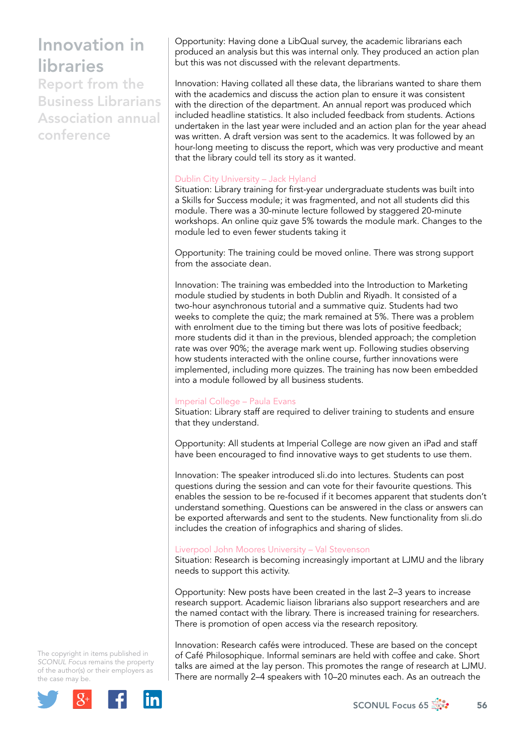Report from the Business Librarians Association annual conference

Opportunity: Having done a LibQual survey, the academic librarians each produced an analysis but this was internal only. They produced an action plan but this was not discussed with the relevant departments.

Innovation: Having collated all these data, the librarians wanted to share them with the academics and discuss the action plan to ensure it was consistent with the direction of the department. An annual report was produced which included headline statistics. It also included feedback from students. Actions undertaken in the last year were included and an action plan for the year ahead was written. A draft version was sent to the academics. It was followed by an hour-long meeting to discuss the report, which was very productive and meant that the library could tell its story as it wanted.

## Dublin City University – Jack Hyland

Situation: Library training for first-year undergraduate students was built into a Skills for Success module; it was fragmented, and not all students did this module. There was a 30-minute lecture followed by staggered 20-minute workshops. An online quiz gave 5% towards the module mark. Changes to the module led to even fewer students taking it

Opportunity: The training could be moved online. There was strong support from the associate dean.

Innovation: The training was embedded into the Introduction to Marketing module studied by students in both Dublin and Riyadh. It consisted of a two-hour asynchronous tutorial and a summative quiz. Students had two weeks to complete the quiz; the mark remained at 5%. There was a problem with enrolment due to the timing but there was lots of positive feedback; more students did it than in the previous, blended approach; the completion rate was over 90%; the average mark went up. Following studies observing how students interacted with the online course, further innovations were implemented, including more quizzes. The training has now been embedded into a module followed by all business students.

## Imperial College – Paula Evans

Situation: Library staff are required to deliver training to students and ensure that they understand.

Opportunity: All students at Imperial College are now given an iPad and staff have been encouraged to find innovative ways to get students to use them.

Innovation: The speaker introduced sli.do into lectures. Students can post questions during the session and can vote for their favourite questions. This enables the session to be re-focused if it becomes apparent that students don't understand something. Questions can be answered in the class or answers can be exported afterwards and sent to the students. New functionality from sli.do includes the creation of infographics and sharing of slides.

## Liverpool John Moores University – Val Stevenson

Situation: Research is becoming increasingly important at LJMU and the library needs to support this activity.

Opportunity: New posts have been created in the last 2–3 years to increase research support. Academic liaison librarians also support researchers and are the named contact with the library. There is increased training for researchers. There is promotion of open access via the research repository.

Innovation: Research cafés were introduced. These are based on the concept of Café Philosophique. Informal seminars are held with coffee and cake. Short talks are aimed at the lay person. This promotes the range of research at LJMU. There are normally 2–4 speakers with 10–20 minutes each. As an outreach the

The copyright in items published in *SCONUL Focus* remains the property of the author(s) or their employers as the case may be.